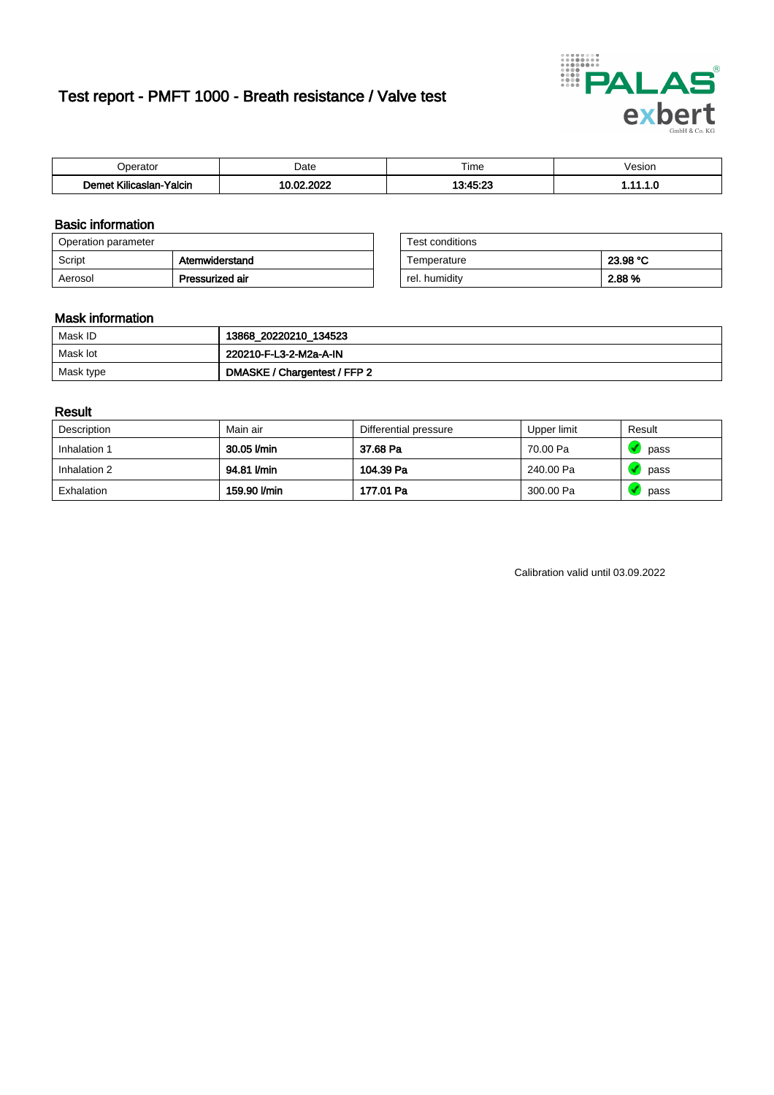# Test report - PMFT 1000 - Breath resistance / Valve test



| Joerator                   | Date                | $- \cdot$<br>Гіmе | esion/ |
|----------------------------|---------------------|-------------------|--------|
| .<br>Yalcin<br>Kilicaslan- | , nnac<br>. ne<br>. | 12.15.27          | .      |

### Basic information

| Operation parameter |                 | Test conditions |          |
|---------------------|-----------------|-----------------|----------|
| Script              | Atemwiderstand  | Temperature     | 23.98 °C |
| Aerosol             | Pressurized air | rel. humidity   | 2.88 %   |

| Test conditions |          |
|-----------------|----------|
| Temperature     | 23.98 °C |
| rel. humidity   | 2.88%    |

### Mask information

| Mask ID   | 13868_20220210_134523        |
|-----------|------------------------------|
| Mask lot  | 220210-F-L3-2-M2a-A-IN       |
| Mask type | DMASKE / Chargentest / FFP 2 |

### Result

| Description  | Main air     | Differential pressure | Upper limit | Result |
|--------------|--------------|-----------------------|-------------|--------|
| Inhalation 1 | 30.05 l/min  | 37.68 Pa              | 70.00 Pa    | pass   |
| Inhalation 2 | 94.81 l/min  | 104.39 Pa             | 240.00 Pa   | pass   |
| Exhalation   | 159.90 l/min | 177.01 Pa             | 300.00 Pa   | pass   |

Calibration valid until 03.09.2022